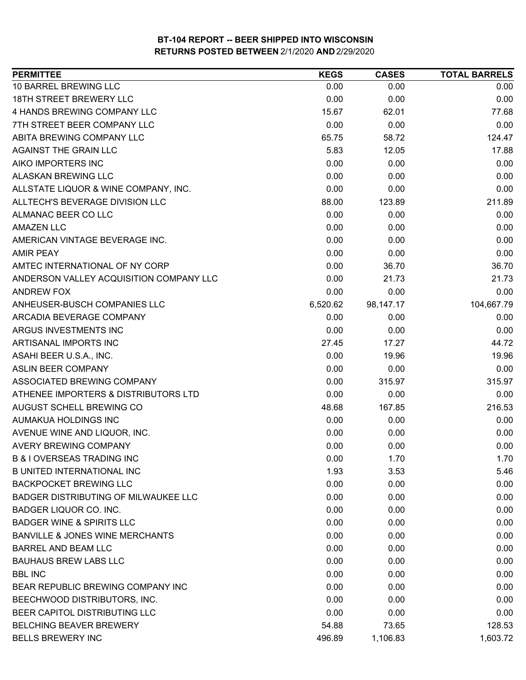| 10 BARREL BREWING LLC<br>0.00<br>0.00<br>0.00<br>18TH STREET BREWERY LLC<br>0.00<br>0.00<br>0.00<br>4 HANDS BREWING COMPANY LLC<br>15.67<br>62.01<br>77.68<br>7TH STREET BEER COMPANY LLC<br>0.00<br>0.00<br>0.00<br>ABITA BREWING COMPANY LLC<br>65.75<br>58.72<br>124.47<br>AGAINST THE GRAIN LLC<br>5.83<br>12.05<br>17.88<br>AIKO IMPORTERS INC<br>0.00<br>0.00<br>0.00<br>ALASKAN BREWING LLC<br>0.00<br>0.00<br>0.00<br>0.00<br>ALLSTATE LIQUOR & WINE COMPANY, INC.<br>0.00<br>0.00<br>211.89<br>ALLTECH'S BEVERAGE DIVISION LLC<br>88.00<br>123.89<br>ALMANAC BEER CO LLC<br>0.00<br>0.00<br>0.00<br><b>AMAZEN LLC</b><br>0.00<br>0.00<br>0.00<br>0.00<br>0.00<br>AMERICAN VINTAGE BEVERAGE INC.<br>0.00<br>0.00<br>0.00<br><b>AMIR PEAY</b><br>0.00<br>AMTEC INTERNATIONAL OF NY CORP<br>0.00<br>36.70<br>36.70<br>ANDERSON VALLEY ACQUISITION COMPANY LLC<br>0.00<br>21.73<br>21.73<br>0.00<br>0.00<br>0.00<br>ANDREW FOX<br>6,520.62<br>104,667.79<br>ANHEUSER-BUSCH COMPANIES LLC<br>98,147.17<br>ARCADIA BEVERAGE COMPANY<br>0.00<br>0.00<br>0.00<br>ARGUS INVESTMENTS INC<br>0.00<br>0.00<br>0.00<br>ARTISANAL IMPORTS INC<br>27.45<br>44.72<br>17.27<br>ASAHI BEER U.S.A., INC.<br>0.00<br>19.96<br>19.96<br><b>ASLIN BEER COMPANY</b><br>0.00<br>0.00<br>0.00<br>ASSOCIATED BREWING COMPANY<br>0.00<br>315.97<br>315.97<br>ATHENEE IMPORTERS & DISTRIBUTORS LTD<br>0.00<br>0.00<br>0.00<br>AUGUST SCHELL BREWING CO<br>48.68<br>167.85<br>216.53<br>AUMAKUA HOLDINGS INC<br>0.00<br>0.00<br>0.00<br>0.00<br>AVENUE WINE AND LIQUOR, INC.<br>0.00<br>0.00<br><b>AVERY BREWING COMPANY</b><br>0.00<br>0.00<br>0.00<br><b>B &amp; I OVERSEAS TRADING INC</b><br>0.00<br>1.70<br>1.70<br><b>B UNITED INTERNATIONAL INC</b><br>1.93<br>3.53<br>5.46<br><b>BACKPOCKET BREWING LLC</b><br>0.00<br>0.00<br>0.00<br><b>BADGER DISTRIBUTING OF MILWAUKEE LLC</b><br>0.00<br>0.00<br>0.00<br>BADGER LIQUOR CO. INC.<br>0.00<br>0.00<br>0.00<br><b>BADGER WINE &amp; SPIRITS LLC</b><br>0.00<br>0.00<br>0.00<br><b>BANVILLE &amp; JONES WINE MERCHANTS</b><br>0.00<br>0.00<br>0.00<br><b>BARREL AND BEAM LLC</b><br>0.00<br>0.00<br>0.00<br><b>BAUHAUS BREW LABS LLC</b><br>0.00<br>0.00<br>0.00<br><b>BBL INC</b><br>0.00<br>0.00<br>0.00<br>0.00<br>BEAR REPUBLIC BREWING COMPANY INC<br>0.00<br>0.00<br>BEECHWOOD DISTRIBUTORS, INC.<br>0.00<br>0.00<br>0.00<br>BEER CAPITOL DISTRIBUTING LLC<br>0.00<br>0.00<br>0.00<br><b>BELCHING BEAVER BREWERY</b><br>54.88<br>128.53<br>73.65<br><b>BELLS BREWERY INC</b><br>1,106.83<br>1,603.72<br>496.89 | <b>PERMITTEE</b> | <b>KEGS</b> | <b>CASES</b> | <b>TOTAL BARRELS</b> |
|----------------------------------------------------------------------------------------------------------------------------------------------------------------------------------------------------------------------------------------------------------------------------------------------------------------------------------------------------------------------------------------------------------------------------------------------------------------------------------------------------------------------------------------------------------------------------------------------------------------------------------------------------------------------------------------------------------------------------------------------------------------------------------------------------------------------------------------------------------------------------------------------------------------------------------------------------------------------------------------------------------------------------------------------------------------------------------------------------------------------------------------------------------------------------------------------------------------------------------------------------------------------------------------------------------------------------------------------------------------------------------------------------------------------------------------------------------------------------------------------------------------------------------------------------------------------------------------------------------------------------------------------------------------------------------------------------------------------------------------------------------------------------------------------------------------------------------------------------------------------------------------------------------------------------------------------------------------------------------------------------------------------------------------------------------------------------------------------------------------------------------------------------------------------------------------------------------------------------------------------------------------------------------------------------------------------------------------------------------------------------------------------------------------------------------------------------------------------------------------------------------------------------------------------------------|------------------|-------------|--------------|----------------------|
|                                                                                                                                                                                                                                                                                                                                                                                                                                                                                                                                                                                                                                                                                                                                                                                                                                                                                                                                                                                                                                                                                                                                                                                                                                                                                                                                                                                                                                                                                                                                                                                                                                                                                                                                                                                                                                                                                                                                                                                                                                                                                                                                                                                                                                                                                                                                                                                                                                                                                                                                                          |                  |             |              |                      |
|                                                                                                                                                                                                                                                                                                                                                                                                                                                                                                                                                                                                                                                                                                                                                                                                                                                                                                                                                                                                                                                                                                                                                                                                                                                                                                                                                                                                                                                                                                                                                                                                                                                                                                                                                                                                                                                                                                                                                                                                                                                                                                                                                                                                                                                                                                                                                                                                                                                                                                                                                          |                  |             |              |                      |
|                                                                                                                                                                                                                                                                                                                                                                                                                                                                                                                                                                                                                                                                                                                                                                                                                                                                                                                                                                                                                                                                                                                                                                                                                                                                                                                                                                                                                                                                                                                                                                                                                                                                                                                                                                                                                                                                                                                                                                                                                                                                                                                                                                                                                                                                                                                                                                                                                                                                                                                                                          |                  |             |              |                      |
|                                                                                                                                                                                                                                                                                                                                                                                                                                                                                                                                                                                                                                                                                                                                                                                                                                                                                                                                                                                                                                                                                                                                                                                                                                                                                                                                                                                                                                                                                                                                                                                                                                                                                                                                                                                                                                                                                                                                                                                                                                                                                                                                                                                                                                                                                                                                                                                                                                                                                                                                                          |                  |             |              |                      |
|                                                                                                                                                                                                                                                                                                                                                                                                                                                                                                                                                                                                                                                                                                                                                                                                                                                                                                                                                                                                                                                                                                                                                                                                                                                                                                                                                                                                                                                                                                                                                                                                                                                                                                                                                                                                                                                                                                                                                                                                                                                                                                                                                                                                                                                                                                                                                                                                                                                                                                                                                          |                  |             |              |                      |
|                                                                                                                                                                                                                                                                                                                                                                                                                                                                                                                                                                                                                                                                                                                                                                                                                                                                                                                                                                                                                                                                                                                                                                                                                                                                                                                                                                                                                                                                                                                                                                                                                                                                                                                                                                                                                                                                                                                                                                                                                                                                                                                                                                                                                                                                                                                                                                                                                                                                                                                                                          |                  |             |              |                      |
|                                                                                                                                                                                                                                                                                                                                                                                                                                                                                                                                                                                                                                                                                                                                                                                                                                                                                                                                                                                                                                                                                                                                                                                                                                                                                                                                                                                                                                                                                                                                                                                                                                                                                                                                                                                                                                                                                                                                                                                                                                                                                                                                                                                                                                                                                                                                                                                                                                                                                                                                                          |                  |             |              |                      |
|                                                                                                                                                                                                                                                                                                                                                                                                                                                                                                                                                                                                                                                                                                                                                                                                                                                                                                                                                                                                                                                                                                                                                                                                                                                                                                                                                                                                                                                                                                                                                                                                                                                                                                                                                                                                                                                                                                                                                                                                                                                                                                                                                                                                                                                                                                                                                                                                                                                                                                                                                          |                  |             |              |                      |
|                                                                                                                                                                                                                                                                                                                                                                                                                                                                                                                                                                                                                                                                                                                                                                                                                                                                                                                                                                                                                                                                                                                                                                                                                                                                                                                                                                                                                                                                                                                                                                                                                                                                                                                                                                                                                                                                                                                                                                                                                                                                                                                                                                                                                                                                                                                                                                                                                                                                                                                                                          |                  |             |              |                      |
|                                                                                                                                                                                                                                                                                                                                                                                                                                                                                                                                                                                                                                                                                                                                                                                                                                                                                                                                                                                                                                                                                                                                                                                                                                                                                                                                                                                                                                                                                                                                                                                                                                                                                                                                                                                                                                                                                                                                                                                                                                                                                                                                                                                                                                                                                                                                                                                                                                                                                                                                                          |                  |             |              |                      |
|                                                                                                                                                                                                                                                                                                                                                                                                                                                                                                                                                                                                                                                                                                                                                                                                                                                                                                                                                                                                                                                                                                                                                                                                                                                                                                                                                                                                                                                                                                                                                                                                                                                                                                                                                                                                                                                                                                                                                                                                                                                                                                                                                                                                                                                                                                                                                                                                                                                                                                                                                          |                  |             |              |                      |
|                                                                                                                                                                                                                                                                                                                                                                                                                                                                                                                                                                                                                                                                                                                                                                                                                                                                                                                                                                                                                                                                                                                                                                                                                                                                                                                                                                                                                                                                                                                                                                                                                                                                                                                                                                                                                                                                                                                                                                                                                                                                                                                                                                                                                                                                                                                                                                                                                                                                                                                                                          |                  |             |              |                      |
|                                                                                                                                                                                                                                                                                                                                                                                                                                                                                                                                                                                                                                                                                                                                                                                                                                                                                                                                                                                                                                                                                                                                                                                                                                                                                                                                                                                                                                                                                                                                                                                                                                                                                                                                                                                                                                                                                                                                                                                                                                                                                                                                                                                                                                                                                                                                                                                                                                                                                                                                                          |                  |             |              |                      |
|                                                                                                                                                                                                                                                                                                                                                                                                                                                                                                                                                                                                                                                                                                                                                                                                                                                                                                                                                                                                                                                                                                                                                                                                                                                                                                                                                                                                                                                                                                                                                                                                                                                                                                                                                                                                                                                                                                                                                                                                                                                                                                                                                                                                                                                                                                                                                                                                                                                                                                                                                          |                  |             |              |                      |
|                                                                                                                                                                                                                                                                                                                                                                                                                                                                                                                                                                                                                                                                                                                                                                                                                                                                                                                                                                                                                                                                                                                                                                                                                                                                                                                                                                                                                                                                                                                                                                                                                                                                                                                                                                                                                                                                                                                                                                                                                                                                                                                                                                                                                                                                                                                                                                                                                                                                                                                                                          |                  |             |              |                      |
|                                                                                                                                                                                                                                                                                                                                                                                                                                                                                                                                                                                                                                                                                                                                                                                                                                                                                                                                                                                                                                                                                                                                                                                                                                                                                                                                                                                                                                                                                                                                                                                                                                                                                                                                                                                                                                                                                                                                                                                                                                                                                                                                                                                                                                                                                                                                                                                                                                                                                                                                                          |                  |             |              |                      |
|                                                                                                                                                                                                                                                                                                                                                                                                                                                                                                                                                                                                                                                                                                                                                                                                                                                                                                                                                                                                                                                                                                                                                                                                                                                                                                                                                                                                                                                                                                                                                                                                                                                                                                                                                                                                                                                                                                                                                                                                                                                                                                                                                                                                                                                                                                                                                                                                                                                                                                                                                          |                  |             |              |                      |
|                                                                                                                                                                                                                                                                                                                                                                                                                                                                                                                                                                                                                                                                                                                                                                                                                                                                                                                                                                                                                                                                                                                                                                                                                                                                                                                                                                                                                                                                                                                                                                                                                                                                                                                                                                                                                                                                                                                                                                                                                                                                                                                                                                                                                                                                                                                                                                                                                                                                                                                                                          |                  |             |              |                      |
|                                                                                                                                                                                                                                                                                                                                                                                                                                                                                                                                                                                                                                                                                                                                                                                                                                                                                                                                                                                                                                                                                                                                                                                                                                                                                                                                                                                                                                                                                                                                                                                                                                                                                                                                                                                                                                                                                                                                                                                                                                                                                                                                                                                                                                                                                                                                                                                                                                                                                                                                                          |                  |             |              |                      |
|                                                                                                                                                                                                                                                                                                                                                                                                                                                                                                                                                                                                                                                                                                                                                                                                                                                                                                                                                                                                                                                                                                                                                                                                                                                                                                                                                                                                                                                                                                                                                                                                                                                                                                                                                                                                                                                                                                                                                                                                                                                                                                                                                                                                                                                                                                                                                                                                                                                                                                                                                          |                  |             |              |                      |
|                                                                                                                                                                                                                                                                                                                                                                                                                                                                                                                                                                                                                                                                                                                                                                                                                                                                                                                                                                                                                                                                                                                                                                                                                                                                                                                                                                                                                                                                                                                                                                                                                                                                                                                                                                                                                                                                                                                                                                                                                                                                                                                                                                                                                                                                                                                                                                                                                                                                                                                                                          |                  |             |              |                      |
|                                                                                                                                                                                                                                                                                                                                                                                                                                                                                                                                                                                                                                                                                                                                                                                                                                                                                                                                                                                                                                                                                                                                                                                                                                                                                                                                                                                                                                                                                                                                                                                                                                                                                                                                                                                                                                                                                                                                                                                                                                                                                                                                                                                                                                                                                                                                                                                                                                                                                                                                                          |                  |             |              |                      |
|                                                                                                                                                                                                                                                                                                                                                                                                                                                                                                                                                                                                                                                                                                                                                                                                                                                                                                                                                                                                                                                                                                                                                                                                                                                                                                                                                                                                                                                                                                                                                                                                                                                                                                                                                                                                                                                                                                                                                                                                                                                                                                                                                                                                                                                                                                                                                                                                                                                                                                                                                          |                  |             |              |                      |
|                                                                                                                                                                                                                                                                                                                                                                                                                                                                                                                                                                                                                                                                                                                                                                                                                                                                                                                                                                                                                                                                                                                                                                                                                                                                                                                                                                                                                                                                                                                                                                                                                                                                                                                                                                                                                                                                                                                                                                                                                                                                                                                                                                                                                                                                                                                                                                                                                                                                                                                                                          |                  |             |              |                      |
|                                                                                                                                                                                                                                                                                                                                                                                                                                                                                                                                                                                                                                                                                                                                                                                                                                                                                                                                                                                                                                                                                                                                                                                                                                                                                                                                                                                                                                                                                                                                                                                                                                                                                                                                                                                                                                                                                                                                                                                                                                                                                                                                                                                                                                                                                                                                                                                                                                                                                                                                                          |                  |             |              |                      |
|                                                                                                                                                                                                                                                                                                                                                                                                                                                                                                                                                                                                                                                                                                                                                                                                                                                                                                                                                                                                                                                                                                                                                                                                                                                                                                                                                                                                                                                                                                                                                                                                                                                                                                                                                                                                                                                                                                                                                                                                                                                                                                                                                                                                                                                                                                                                                                                                                                                                                                                                                          |                  |             |              |                      |
|                                                                                                                                                                                                                                                                                                                                                                                                                                                                                                                                                                                                                                                                                                                                                                                                                                                                                                                                                                                                                                                                                                                                                                                                                                                                                                                                                                                                                                                                                                                                                                                                                                                                                                                                                                                                                                                                                                                                                                                                                                                                                                                                                                                                                                                                                                                                                                                                                                                                                                                                                          |                  |             |              |                      |
|                                                                                                                                                                                                                                                                                                                                                                                                                                                                                                                                                                                                                                                                                                                                                                                                                                                                                                                                                                                                                                                                                                                                                                                                                                                                                                                                                                                                                                                                                                                                                                                                                                                                                                                                                                                                                                                                                                                                                                                                                                                                                                                                                                                                                                                                                                                                                                                                                                                                                                                                                          |                  |             |              |                      |
|                                                                                                                                                                                                                                                                                                                                                                                                                                                                                                                                                                                                                                                                                                                                                                                                                                                                                                                                                                                                                                                                                                                                                                                                                                                                                                                                                                                                                                                                                                                                                                                                                                                                                                                                                                                                                                                                                                                                                                                                                                                                                                                                                                                                                                                                                                                                                                                                                                                                                                                                                          |                  |             |              |                      |
|                                                                                                                                                                                                                                                                                                                                                                                                                                                                                                                                                                                                                                                                                                                                                                                                                                                                                                                                                                                                                                                                                                                                                                                                                                                                                                                                                                                                                                                                                                                                                                                                                                                                                                                                                                                                                                                                                                                                                                                                                                                                                                                                                                                                                                                                                                                                                                                                                                                                                                                                                          |                  |             |              |                      |
|                                                                                                                                                                                                                                                                                                                                                                                                                                                                                                                                                                                                                                                                                                                                                                                                                                                                                                                                                                                                                                                                                                                                                                                                                                                                                                                                                                                                                                                                                                                                                                                                                                                                                                                                                                                                                                                                                                                                                                                                                                                                                                                                                                                                                                                                                                                                                                                                                                                                                                                                                          |                  |             |              |                      |
|                                                                                                                                                                                                                                                                                                                                                                                                                                                                                                                                                                                                                                                                                                                                                                                                                                                                                                                                                                                                                                                                                                                                                                                                                                                                                                                                                                                                                                                                                                                                                                                                                                                                                                                                                                                                                                                                                                                                                                                                                                                                                                                                                                                                                                                                                                                                                                                                                                                                                                                                                          |                  |             |              |                      |
|                                                                                                                                                                                                                                                                                                                                                                                                                                                                                                                                                                                                                                                                                                                                                                                                                                                                                                                                                                                                                                                                                                                                                                                                                                                                                                                                                                                                                                                                                                                                                                                                                                                                                                                                                                                                                                                                                                                                                                                                                                                                                                                                                                                                                                                                                                                                                                                                                                                                                                                                                          |                  |             |              |                      |
|                                                                                                                                                                                                                                                                                                                                                                                                                                                                                                                                                                                                                                                                                                                                                                                                                                                                                                                                                                                                                                                                                                                                                                                                                                                                                                                                                                                                                                                                                                                                                                                                                                                                                                                                                                                                                                                                                                                                                                                                                                                                                                                                                                                                                                                                                                                                                                                                                                                                                                                                                          |                  |             |              |                      |
|                                                                                                                                                                                                                                                                                                                                                                                                                                                                                                                                                                                                                                                                                                                                                                                                                                                                                                                                                                                                                                                                                                                                                                                                                                                                                                                                                                                                                                                                                                                                                                                                                                                                                                                                                                                                                                                                                                                                                                                                                                                                                                                                                                                                                                                                                                                                                                                                                                                                                                                                                          |                  |             |              |                      |
|                                                                                                                                                                                                                                                                                                                                                                                                                                                                                                                                                                                                                                                                                                                                                                                                                                                                                                                                                                                                                                                                                                                                                                                                                                                                                                                                                                                                                                                                                                                                                                                                                                                                                                                                                                                                                                                                                                                                                                                                                                                                                                                                                                                                                                                                                                                                                                                                                                                                                                                                                          |                  |             |              |                      |
|                                                                                                                                                                                                                                                                                                                                                                                                                                                                                                                                                                                                                                                                                                                                                                                                                                                                                                                                                                                                                                                                                                                                                                                                                                                                                                                                                                                                                                                                                                                                                                                                                                                                                                                                                                                                                                                                                                                                                                                                                                                                                                                                                                                                                                                                                                                                                                                                                                                                                                                                                          |                  |             |              |                      |
|                                                                                                                                                                                                                                                                                                                                                                                                                                                                                                                                                                                                                                                                                                                                                                                                                                                                                                                                                                                                                                                                                                                                                                                                                                                                                                                                                                                                                                                                                                                                                                                                                                                                                                                                                                                                                                                                                                                                                                                                                                                                                                                                                                                                                                                                                                                                                                                                                                                                                                                                                          |                  |             |              |                      |
|                                                                                                                                                                                                                                                                                                                                                                                                                                                                                                                                                                                                                                                                                                                                                                                                                                                                                                                                                                                                                                                                                                                                                                                                                                                                                                                                                                                                                                                                                                                                                                                                                                                                                                                                                                                                                                                                                                                                                                                                                                                                                                                                                                                                                                                                                                                                                                                                                                                                                                                                                          |                  |             |              |                      |
|                                                                                                                                                                                                                                                                                                                                                                                                                                                                                                                                                                                                                                                                                                                                                                                                                                                                                                                                                                                                                                                                                                                                                                                                                                                                                                                                                                                                                                                                                                                                                                                                                                                                                                                                                                                                                                                                                                                                                                                                                                                                                                                                                                                                                                                                                                                                                                                                                                                                                                                                                          |                  |             |              |                      |
|                                                                                                                                                                                                                                                                                                                                                                                                                                                                                                                                                                                                                                                                                                                                                                                                                                                                                                                                                                                                                                                                                                                                                                                                                                                                                                                                                                                                                                                                                                                                                                                                                                                                                                                                                                                                                                                                                                                                                                                                                                                                                                                                                                                                                                                                                                                                                                                                                                                                                                                                                          |                  |             |              |                      |
|                                                                                                                                                                                                                                                                                                                                                                                                                                                                                                                                                                                                                                                                                                                                                                                                                                                                                                                                                                                                                                                                                                                                                                                                                                                                                                                                                                                                                                                                                                                                                                                                                                                                                                                                                                                                                                                                                                                                                                                                                                                                                                                                                                                                                                                                                                                                                                                                                                                                                                                                                          |                  |             |              |                      |
|                                                                                                                                                                                                                                                                                                                                                                                                                                                                                                                                                                                                                                                                                                                                                                                                                                                                                                                                                                                                                                                                                                                                                                                                                                                                                                                                                                                                                                                                                                                                                                                                                                                                                                                                                                                                                                                                                                                                                                                                                                                                                                                                                                                                                                                                                                                                                                                                                                                                                                                                                          |                  |             |              |                      |
|                                                                                                                                                                                                                                                                                                                                                                                                                                                                                                                                                                                                                                                                                                                                                                                                                                                                                                                                                                                                                                                                                                                                                                                                                                                                                                                                                                                                                                                                                                                                                                                                                                                                                                                                                                                                                                                                                                                                                                                                                                                                                                                                                                                                                                                                                                                                                                                                                                                                                                                                                          |                  |             |              |                      |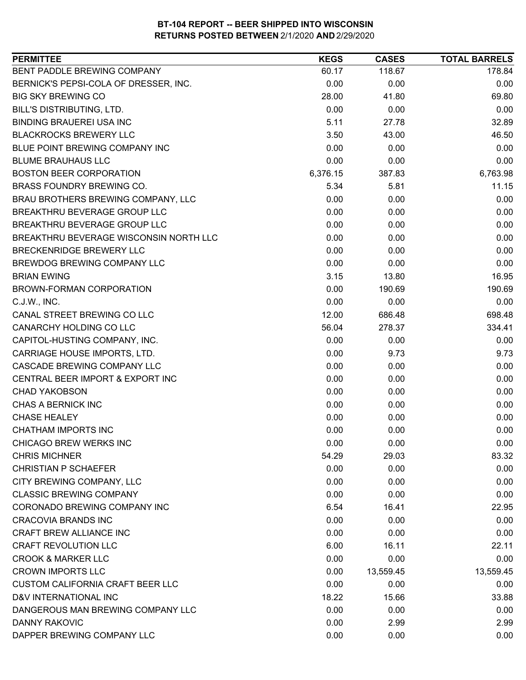| BENT PADDLE BREWING COMPANY<br>60.17<br>118.67<br>178.84<br>BERNICK'S PEPSI-COLA OF DRESSER, INC.<br>0.00<br>0.00<br>0.00<br><b>BIG SKY BREWING CO</b><br>28.00<br>69.80<br>41.80<br>BILL'S DISTRIBUTING, LTD.<br>0.00<br>0.00<br>0.00<br><b>BINDING BRAUEREI USA INC</b><br>5.11<br>32.89<br>27.78<br><b>BLACKROCKS BREWERY LLC</b><br>3.50<br>43.00<br>46.50<br>BLUE POINT BREWING COMPANY INC<br>0.00<br>0.00<br>0.00<br><b>BLUME BRAUHAUS LLC</b><br>0.00<br>0.00<br>0.00<br>6,763.98<br><b>BOSTON BEER CORPORATION</b><br>6,376.15<br>387.83<br>BRASS FOUNDRY BREWING CO.<br>5.34<br>5.81<br>11.15<br>BRAU BROTHERS BREWING COMPANY, LLC<br>0.00<br>0.00<br>0.00<br>BREAKTHRU BEVERAGE GROUP LLC<br>0.00<br>0.00<br>0.00<br>BREAKTHRU BEVERAGE GROUP LLC<br>0.00<br>0.00<br>0.00<br>BREAKTHRU BEVERAGE WISCONSIN NORTH LLC<br>0.00<br>0.00<br>0.00<br>BRECKENRIDGE BREWERY LLC<br>0.00<br>0.00<br>0.00<br><b>BREWDOG BREWING COMPANY LLC</b><br>0.00<br>0.00<br>0.00<br>3.15<br>16.95<br><b>BRIAN EWING</b><br>13.80<br>BROWN-FORMAN CORPORATION<br>0.00<br>190.69<br>190.69<br>0.00<br>0.00<br>C.J.W., INC.<br>0.00<br>CANAL STREET BREWING CO LLC<br>12.00<br>686.48<br>698.48<br>334.41<br>CANARCHY HOLDING CO LLC<br>56.04<br>278.37<br>CAPITOL-HUSTING COMPANY, INC.<br>0.00<br>0.00<br>0.00<br>CARRIAGE HOUSE IMPORTS, LTD.<br>0.00<br>9.73<br>9.73<br>CASCADE BREWING COMPANY LLC<br>0.00<br>0.00<br>0.00<br>CENTRAL BEER IMPORT & EXPORT INC<br>0.00<br>0.00<br>0.00<br><b>CHAD YAKOBSON</b><br>0.00<br>0.00<br>0.00<br>CHAS A BERNICK INC<br>0.00<br>0.00<br>0.00<br><b>CHASE HEALEY</b><br>0.00<br>0.00<br>0.00<br>0.00<br>0.00<br>0.00<br><b>CHATHAM IMPORTS INC</b><br><b>CHICAGO BREW WERKS INC</b><br>0.00<br>0.00<br>0.00<br><b>CHRIS MICHNER</b><br>54.29<br>29.03<br>83.32<br><b>CHRISTIAN P SCHAEFER</b><br>0.00<br>0.00<br>0.00<br>CITY BREWING COMPANY, LLC<br>0.00<br>0.00<br>0.00<br><b>CLASSIC BREWING COMPANY</b><br>0.00<br>0.00<br>0.00<br>CORONADO BREWING COMPANY INC<br>6.54<br>16.41<br>22.95<br><b>CRACOVIA BRANDS INC</b><br>0.00<br>0.00<br>0.00<br>CRAFT BREW ALLIANCE INC<br>0.00<br>0.00<br>0.00<br><b>CRAFT REVOLUTION LLC</b><br>6.00<br>16.11<br>22.11<br><b>CROOK &amp; MARKER LLC</b><br>0.00<br>0.00<br>0.00<br><b>CROWN IMPORTS LLC</b><br>13,559.45<br>0.00<br>13,559.45<br><b>CUSTOM CALIFORNIA CRAFT BEER LLC</b><br>0.00<br>0.00<br>0.00<br>D&V INTERNATIONAL INC<br>18.22<br>15.66<br>33.88<br>0.00<br>DANGEROUS MAN BREWING COMPANY LLC<br>0.00<br>0.00<br>0.00<br>2.99<br><b>DANNY RAKOVIC</b><br>2.99<br>DAPPER BREWING COMPANY LLC<br>0.00<br>0.00<br>0.00 | <b>PERMITTEE</b> | <b>KEGS</b> | <b>CASES</b> | <b>TOTAL BARRELS</b> |
|---------------------------------------------------------------------------------------------------------------------------------------------------------------------------------------------------------------------------------------------------------------------------------------------------------------------------------------------------------------------------------------------------------------------------------------------------------------------------------------------------------------------------------------------------------------------------------------------------------------------------------------------------------------------------------------------------------------------------------------------------------------------------------------------------------------------------------------------------------------------------------------------------------------------------------------------------------------------------------------------------------------------------------------------------------------------------------------------------------------------------------------------------------------------------------------------------------------------------------------------------------------------------------------------------------------------------------------------------------------------------------------------------------------------------------------------------------------------------------------------------------------------------------------------------------------------------------------------------------------------------------------------------------------------------------------------------------------------------------------------------------------------------------------------------------------------------------------------------------------------------------------------------------------------------------------------------------------------------------------------------------------------------------------------------------------------------------------------------------------------------------------------------------------------------------------------------------------------------------------------------------------------------------------------------------------------------------------------------------------------------------------------------------------------------------------------------------------------------------------------------------------------------------------------------------------------------------------------------------------------|------------------|-------------|--------------|----------------------|
|                                                                                                                                                                                                                                                                                                                                                                                                                                                                                                                                                                                                                                                                                                                                                                                                                                                                                                                                                                                                                                                                                                                                                                                                                                                                                                                                                                                                                                                                                                                                                                                                                                                                                                                                                                                                                                                                                                                                                                                                                                                                                                                                                                                                                                                                                                                                                                                                                                                                                                                                                                                                                     |                  |             |              |                      |
|                                                                                                                                                                                                                                                                                                                                                                                                                                                                                                                                                                                                                                                                                                                                                                                                                                                                                                                                                                                                                                                                                                                                                                                                                                                                                                                                                                                                                                                                                                                                                                                                                                                                                                                                                                                                                                                                                                                                                                                                                                                                                                                                                                                                                                                                                                                                                                                                                                                                                                                                                                                                                     |                  |             |              |                      |
|                                                                                                                                                                                                                                                                                                                                                                                                                                                                                                                                                                                                                                                                                                                                                                                                                                                                                                                                                                                                                                                                                                                                                                                                                                                                                                                                                                                                                                                                                                                                                                                                                                                                                                                                                                                                                                                                                                                                                                                                                                                                                                                                                                                                                                                                                                                                                                                                                                                                                                                                                                                                                     |                  |             |              |                      |
|                                                                                                                                                                                                                                                                                                                                                                                                                                                                                                                                                                                                                                                                                                                                                                                                                                                                                                                                                                                                                                                                                                                                                                                                                                                                                                                                                                                                                                                                                                                                                                                                                                                                                                                                                                                                                                                                                                                                                                                                                                                                                                                                                                                                                                                                                                                                                                                                                                                                                                                                                                                                                     |                  |             |              |                      |
|                                                                                                                                                                                                                                                                                                                                                                                                                                                                                                                                                                                                                                                                                                                                                                                                                                                                                                                                                                                                                                                                                                                                                                                                                                                                                                                                                                                                                                                                                                                                                                                                                                                                                                                                                                                                                                                                                                                                                                                                                                                                                                                                                                                                                                                                                                                                                                                                                                                                                                                                                                                                                     |                  |             |              |                      |
|                                                                                                                                                                                                                                                                                                                                                                                                                                                                                                                                                                                                                                                                                                                                                                                                                                                                                                                                                                                                                                                                                                                                                                                                                                                                                                                                                                                                                                                                                                                                                                                                                                                                                                                                                                                                                                                                                                                                                                                                                                                                                                                                                                                                                                                                                                                                                                                                                                                                                                                                                                                                                     |                  |             |              |                      |
|                                                                                                                                                                                                                                                                                                                                                                                                                                                                                                                                                                                                                                                                                                                                                                                                                                                                                                                                                                                                                                                                                                                                                                                                                                                                                                                                                                                                                                                                                                                                                                                                                                                                                                                                                                                                                                                                                                                                                                                                                                                                                                                                                                                                                                                                                                                                                                                                                                                                                                                                                                                                                     |                  |             |              |                      |
|                                                                                                                                                                                                                                                                                                                                                                                                                                                                                                                                                                                                                                                                                                                                                                                                                                                                                                                                                                                                                                                                                                                                                                                                                                                                                                                                                                                                                                                                                                                                                                                                                                                                                                                                                                                                                                                                                                                                                                                                                                                                                                                                                                                                                                                                                                                                                                                                                                                                                                                                                                                                                     |                  |             |              |                      |
|                                                                                                                                                                                                                                                                                                                                                                                                                                                                                                                                                                                                                                                                                                                                                                                                                                                                                                                                                                                                                                                                                                                                                                                                                                                                                                                                                                                                                                                                                                                                                                                                                                                                                                                                                                                                                                                                                                                                                                                                                                                                                                                                                                                                                                                                                                                                                                                                                                                                                                                                                                                                                     |                  |             |              |                      |
|                                                                                                                                                                                                                                                                                                                                                                                                                                                                                                                                                                                                                                                                                                                                                                                                                                                                                                                                                                                                                                                                                                                                                                                                                                                                                                                                                                                                                                                                                                                                                                                                                                                                                                                                                                                                                                                                                                                                                                                                                                                                                                                                                                                                                                                                                                                                                                                                                                                                                                                                                                                                                     |                  |             |              |                      |
|                                                                                                                                                                                                                                                                                                                                                                                                                                                                                                                                                                                                                                                                                                                                                                                                                                                                                                                                                                                                                                                                                                                                                                                                                                                                                                                                                                                                                                                                                                                                                                                                                                                                                                                                                                                                                                                                                                                                                                                                                                                                                                                                                                                                                                                                                                                                                                                                                                                                                                                                                                                                                     |                  |             |              |                      |
|                                                                                                                                                                                                                                                                                                                                                                                                                                                                                                                                                                                                                                                                                                                                                                                                                                                                                                                                                                                                                                                                                                                                                                                                                                                                                                                                                                                                                                                                                                                                                                                                                                                                                                                                                                                                                                                                                                                                                                                                                                                                                                                                                                                                                                                                                                                                                                                                                                                                                                                                                                                                                     |                  |             |              |                      |
|                                                                                                                                                                                                                                                                                                                                                                                                                                                                                                                                                                                                                                                                                                                                                                                                                                                                                                                                                                                                                                                                                                                                                                                                                                                                                                                                                                                                                                                                                                                                                                                                                                                                                                                                                                                                                                                                                                                                                                                                                                                                                                                                                                                                                                                                                                                                                                                                                                                                                                                                                                                                                     |                  |             |              |                      |
|                                                                                                                                                                                                                                                                                                                                                                                                                                                                                                                                                                                                                                                                                                                                                                                                                                                                                                                                                                                                                                                                                                                                                                                                                                                                                                                                                                                                                                                                                                                                                                                                                                                                                                                                                                                                                                                                                                                                                                                                                                                                                                                                                                                                                                                                                                                                                                                                                                                                                                                                                                                                                     |                  |             |              |                      |
|                                                                                                                                                                                                                                                                                                                                                                                                                                                                                                                                                                                                                                                                                                                                                                                                                                                                                                                                                                                                                                                                                                                                                                                                                                                                                                                                                                                                                                                                                                                                                                                                                                                                                                                                                                                                                                                                                                                                                                                                                                                                                                                                                                                                                                                                                                                                                                                                                                                                                                                                                                                                                     |                  |             |              |                      |
|                                                                                                                                                                                                                                                                                                                                                                                                                                                                                                                                                                                                                                                                                                                                                                                                                                                                                                                                                                                                                                                                                                                                                                                                                                                                                                                                                                                                                                                                                                                                                                                                                                                                                                                                                                                                                                                                                                                                                                                                                                                                                                                                                                                                                                                                                                                                                                                                                                                                                                                                                                                                                     |                  |             |              |                      |
|                                                                                                                                                                                                                                                                                                                                                                                                                                                                                                                                                                                                                                                                                                                                                                                                                                                                                                                                                                                                                                                                                                                                                                                                                                                                                                                                                                                                                                                                                                                                                                                                                                                                                                                                                                                                                                                                                                                                                                                                                                                                                                                                                                                                                                                                                                                                                                                                                                                                                                                                                                                                                     |                  |             |              |                      |
|                                                                                                                                                                                                                                                                                                                                                                                                                                                                                                                                                                                                                                                                                                                                                                                                                                                                                                                                                                                                                                                                                                                                                                                                                                                                                                                                                                                                                                                                                                                                                                                                                                                                                                                                                                                                                                                                                                                                                                                                                                                                                                                                                                                                                                                                                                                                                                                                                                                                                                                                                                                                                     |                  |             |              |                      |
|                                                                                                                                                                                                                                                                                                                                                                                                                                                                                                                                                                                                                                                                                                                                                                                                                                                                                                                                                                                                                                                                                                                                                                                                                                                                                                                                                                                                                                                                                                                                                                                                                                                                                                                                                                                                                                                                                                                                                                                                                                                                                                                                                                                                                                                                                                                                                                                                                                                                                                                                                                                                                     |                  |             |              |                      |
|                                                                                                                                                                                                                                                                                                                                                                                                                                                                                                                                                                                                                                                                                                                                                                                                                                                                                                                                                                                                                                                                                                                                                                                                                                                                                                                                                                                                                                                                                                                                                                                                                                                                                                                                                                                                                                                                                                                                                                                                                                                                                                                                                                                                                                                                                                                                                                                                                                                                                                                                                                                                                     |                  |             |              |                      |
|                                                                                                                                                                                                                                                                                                                                                                                                                                                                                                                                                                                                                                                                                                                                                                                                                                                                                                                                                                                                                                                                                                                                                                                                                                                                                                                                                                                                                                                                                                                                                                                                                                                                                                                                                                                                                                                                                                                                                                                                                                                                                                                                                                                                                                                                                                                                                                                                                                                                                                                                                                                                                     |                  |             |              |                      |
|                                                                                                                                                                                                                                                                                                                                                                                                                                                                                                                                                                                                                                                                                                                                                                                                                                                                                                                                                                                                                                                                                                                                                                                                                                                                                                                                                                                                                                                                                                                                                                                                                                                                                                                                                                                                                                                                                                                                                                                                                                                                                                                                                                                                                                                                                                                                                                                                                                                                                                                                                                                                                     |                  |             |              |                      |
|                                                                                                                                                                                                                                                                                                                                                                                                                                                                                                                                                                                                                                                                                                                                                                                                                                                                                                                                                                                                                                                                                                                                                                                                                                                                                                                                                                                                                                                                                                                                                                                                                                                                                                                                                                                                                                                                                                                                                                                                                                                                                                                                                                                                                                                                                                                                                                                                                                                                                                                                                                                                                     |                  |             |              |                      |
|                                                                                                                                                                                                                                                                                                                                                                                                                                                                                                                                                                                                                                                                                                                                                                                                                                                                                                                                                                                                                                                                                                                                                                                                                                                                                                                                                                                                                                                                                                                                                                                                                                                                                                                                                                                                                                                                                                                                                                                                                                                                                                                                                                                                                                                                                                                                                                                                                                                                                                                                                                                                                     |                  |             |              |                      |
|                                                                                                                                                                                                                                                                                                                                                                                                                                                                                                                                                                                                                                                                                                                                                                                                                                                                                                                                                                                                                                                                                                                                                                                                                                                                                                                                                                                                                                                                                                                                                                                                                                                                                                                                                                                                                                                                                                                                                                                                                                                                                                                                                                                                                                                                                                                                                                                                                                                                                                                                                                                                                     |                  |             |              |                      |
|                                                                                                                                                                                                                                                                                                                                                                                                                                                                                                                                                                                                                                                                                                                                                                                                                                                                                                                                                                                                                                                                                                                                                                                                                                                                                                                                                                                                                                                                                                                                                                                                                                                                                                                                                                                                                                                                                                                                                                                                                                                                                                                                                                                                                                                                                                                                                                                                                                                                                                                                                                                                                     |                  |             |              |                      |
|                                                                                                                                                                                                                                                                                                                                                                                                                                                                                                                                                                                                                                                                                                                                                                                                                                                                                                                                                                                                                                                                                                                                                                                                                                                                                                                                                                                                                                                                                                                                                                                                                                                                                                                                                                                                                                                                                                                                                                                                                                                                                                                                                                                                                                                                                                                                                                                                                                                                                                                                                                                                                     |                  |             |              |                      |
|                                                                                                                                                                                                                                                                                                                                                                                                                                                                                                                                                                                                                                                                                                                                                                                                                                                                                                                                                                                                                                                                                                                                                                                                                                                                                                                                                                                                                                                                                                                                                                                                                                                                                                                                                                                                                                                                                                                                                                                                                                                                                                                                                                                                                                                                                                                                                                                                                                                                                                                                                                                                                     |                  |             |              |                      |
|                                                                                                                                                                                                                                                                                                                                                                                                                                                                                                                                                                                                                                                                                                                                                                                                                                                                                                                                                                                                                                                                                                                                                                                                                                                                                                                                                                                                                                                                                                                                                                                                                                                                                                                                                                                                                                                                                                                                                                                                                                                                                                                                                                                                                                                                                                                                                                                                                                                                                                                                                                                                                     |                  |             |              |                      |
|                                                                                                                                                                                                                                                                                                                                                                                                                                                                                                                                                                                                                                                                                                                                                                                                                                                                                                                                                                                                                                                                                                                                                                                                                                                                                                                                                                                                                                                                                                                                                                                                                                                                                                                                                                                                                                                                                                                                                                                                                                                                                                                                                                                                                                                                                                                                                                                                                                                                                                                                                                                                                     |                  |             |              |                      |
|                                                                                                                                                                                                                                                                                                                                                                                                                                                                                                                                                                                                                                                                                                                                                                                                                                                                                                                                                                                                                                                                                                                                                                                                                                                                                                                                                                                                                                                                                                                                                                                                                                                                                                                                                                                                                                                                                                                                                                                                                                                                                                                                                                                                                                                                                                                                                                                                                                                                                                                                                                                                                     |                  |             |              |                      |
|                                                                                                                                                                                                                                                                                                                                                                                                                                                                                                                                                                                                                                                                                                                                                                                                                                                                                                                                                                                                                                                                                                                                                                                                                                                                                                                                                                                                                                                                                                                                                                                                                                                                                                                                                                                                                                                                                                                                                                                                                                                                                                                                                                                                                                                                                                                                                                                                                                                                                                                                                                                                                     |                  |             |              |                      |
|                                                                                                                                                                                                                                                                                                                                                                                                                                                                                                                                                                                                                                                                                                                                                                                                                                                                                                                                                                                                                                                                                                                                                                                                                                                                                                                                                                                                                                                                                                                                                                                                                                                                                                                                                                                                                                                                                                                                                                                                                                                                                                                                                                                                                                                                                                                                                                                                                                                                                                                                                                                                                     |                  |             |              |                      |
|                                                                                                                                                                                                                                                                                                                                                                                                                                                                                                                                                                                                                                                                                                                                                                                                                                                                                                                                                                                                                                                                                                                                                                                                                                                                                                                                                                                                                                                                                                                                                                                                                                                                                                                                                                                                                                                                                                                                                                                                                                                                                                                                                                                                                                                                                                                                                                                                                                                                                                                                                                                                                     |                  |             |              |                      |
|                                                                                                                                                                                                                                                                                                                                                                                                                                                                                                                                                                                                                                                                                                                                                                                                                                                                                                                                                                                                                                                                                                                                                                                                                                                                                                                                                                                                                                                                                                                                                                                                                                                                                                                                                                                                                                                                                                                                                                                                                                                                                                                                                                                                                                                                                                                                                                                                                                                                                                                                                                                                                     |                  |             |              |                      |
|                                                                                                                                                                                                                                                                                                                                                                                                                                                                                                                                                                                                                                                                                                                                                                                                                                                                                                                                                                                                                                                                                                                                                                                                                                                                                                                                                                                                                                                                                                                                                                                                                                                                                                                                                                                                                                                                                                                                                                                                                                                                                                                                                                                                                                                                                                                                                                                                                                                                                                                                                                                                                     |                  |             |              |                      |
|                                                                                                                                                                                                                                                                                                                                                                                                                                                                                                                                                                                                                                                                                                                                                                                                                                                                                                                                                                                                                                                                                                                                                                                                                                                                                                                                                                                                                                                                                                                                                                                                                                                                                                                                                                                                                                                                                                                                                                                                                                                                                                                                                                                                                                                                                                                                                                                                                                                                                                                                                                                                                     |                  |             |              |                      |
|                                                                                                                                                                                                                                                                                                                                                                                                                                                                                                                                                                                                                                                                                                                                                                                                                                                                                                                                                                                                                                                                                                                                                                                                                                                                                                                                                                                                                                                                                                                                                                                                                                                                                                                                                                                                                                                                                                                                                                                                                                                                                                                                                                                                                                                                                                                                                                                                                                                                                                                                                                                                                     |                  |             |              |                      |
|                                                                                                                                                                                                                                                                                                                                                                                                                                                                                                                                                                                                                                                                                                                                                                                                                                                                                                                                                                                                                                                                                                                                                                                                                                                                                                                                                                                                                                                                                                                                                                                                                                                                                                                                                                                                                                                                                                                                                                                                                                                                                                                                                                                                                                                                                                                                                                                                                                                                                                                                                                                                                     |                  |             |              |                      |
|                                                                                                                                                                                                                                                                                                                                                                                                                                                                                                                                                                                                                                                                                                                                                                                                                                                                                                                                                                                                                                                                                                                                                                                                                                                                                                                                                                                                                                                                                                                                                                                                                                                                                                                                                                                                                                                                                                                                                                                                                                                                                                                                                                                                                                                                                                                                                                                                                                                                                                                                                                                                                     |                  |             |              |                      |
|                                                                                                                                                                                                                                                                                                                                                                                                                                                                                                                                                                                                                                                                                                                                                                                                                                                                                                                                                                                                                                                                                                                                                                                                                                                                                                                                                                                                                                                                                                                                                                                                                                                                                                                                                                                                                                                                                                                                                                                                                                                                                                                                                                                                                                                                                                                                                                                                                                                                                                                                                                                                                     |                  |             |              |                      |
|                                                                                                                                                                                                                                                                                                                                                                                                                                                                                                                                                                                                                                                                                                                                                                                                                                                                                                                                                                                                                                                                                                                                                                                                                                                                                                                                                                                                                                                                                                                                                                                                                                                                                                                                                                                                                                                                                                                                                                                                                                                                                                                                                                                                                                                                                                                                                                                                                                                                                                                                                                                                                     |                  |             |              |                      |
|                                                                                                                                                                                                                                                                                                                                                                                                                                                                                                                                                                                                                                                                                                                                                                                                                                                                                                                                                                                                                                                                                                                                                                                                                                                                                                                                                                                                                                                                                                                                                                                                                                                                                                                                                                                                                                                                                                                                                                                                                                                                                                                                                                                                                                                                                                                                                                                                                                                                                                                                                                                                                     |                  |             |              |                      |
|                                                                                                                                                                                                                                                                                                                                                                                                                                                                                                                                                                                                                                                                                                                                                                                                                                                                                                                                                                                                                                                                                                                                                                                                                                                                                                                                                                                                                                                                                                                                                                                                                                                                                                                                                                                                                                                                                                                                                                                                                                                                                                                                                                                                                                                                                                                                                                                                                                                                                                                                                                                                                     |                  |             |              |                      |
|                                                                                                                                                                                                                                                                                                                                                                                                                                                                                                                                                                                                                                                                                                                                                                                                                                                                                                                                                                                                                                                                                                                                                                                                                                                                                                                                                                                                                                                                                                                                                                                                                                                                                                                                                                                                                                                                                                                                                                                                                                                                                                                                                                                                                                                                                                                                                                                                                                                                                                                                                                                                                     |                  |             |              |                      |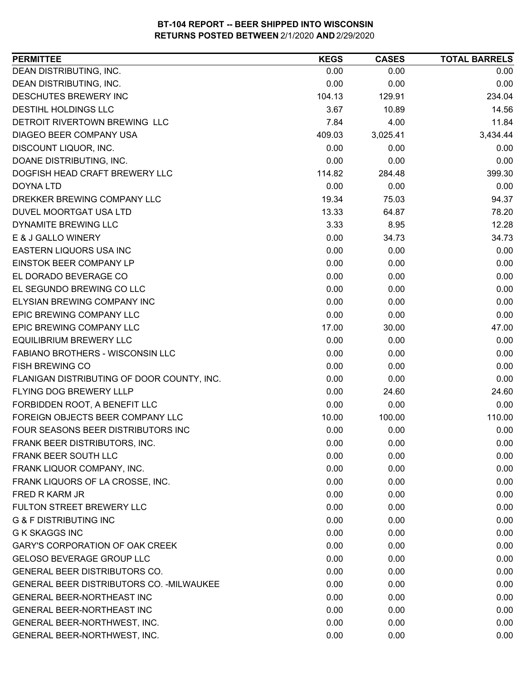| <b>PERMITTEE</b>                           | <b>KEGS</b> | <b>CASES</b> | <b>TOTAL BARRELS</b> |
|--------------------------------------------|-------------|--------------|----------------------|
| DEAN DISTRIBUTING, INC.                    | 0.00        | 0.00         | 0.00                 |
| DEAN DISTRIBUTING, INC.                    | 0.00        | 0.00         | 0.00                 |
| <b>DESCHUTES BREWERY INC</b>               | 104.13      | 129.91       | 234.04               |
| <b>DESTIHL HOLDINGS LLC</b>                | 3.67        | 10.89        | 14.56                |
| DETROIT RIVERTOWN BREWING LLC              | 7.84        | 4.00         | 11.84                |
| DIAGEO BEER COMPANY USA                    | 409.03      | 3,025.41     | 3,434.44             |
| DISCOUNT LIQUOR, INC.                      | 0.00        | 0.00         | 0.00                 |
| DOANE DISTRIBUTING, INC.                   | 0.00        | 0.00         | 0.00                 |
| DOGFISH HEAD CRAFT BREWERY LLC             | 114.82      | 284.48       | 399.30               |
| <b>DOYNA LTD</b>                           | 0.00        | 0.00         | 0.00                 |
| DREKKER BREWING COMPANY LLC                | 19.34       | 75.03        | 94.37                |
| DUVEL MOORTGAT USA LTD                     | 13.33       | 64.87        | 78.20                |
| <b>DYNAMITE BREWING LLC</b>                | 3.33        | 8.95         | 12.28                |
| E & J GALLO WINERY                         | 0.00        | 34.73        | 34.73                |
| EASTERN LIQUORS USA INC                    | 0.00        | 0.00         | 0.00                 |
| EINSTOK BEER COMPANY LP                    | 0.00        | 0.00         | 0.00                 |
| EL DORADO BEVERAGE CO                      | 0.00        | 0.00         | 0.00                 |
| EL SEGUNDO BREWING CO LLC                  | 0.00        | 0.00         | 0.00                 |
| ELYSIAN BREWING COMPANY INC                | 0.00        | 0.00         | 0.00                 |
| EPIC BREWING COMPANY LLC                   | 0.00        | 0.00         | 0.00                 |
| EPIC BREWING COMPANY LLC                   | 17.00       | 30.00        | 47.00                |
| <b>EQUILIBRIUM BREWERY LLC</b>             | 0.00        | 0.00         | 0.00                 |
| FABIANO BROTHERS - WISCONSIN LLC           | 0.00        | 0.00         | 0.00                 |
| <b>FISH BREWING CO</b>                     | 0.00        | 0.00         | 0.00                 |
| FLANIGAN DISTRIBUTING OF DOOR COUNTY, INC. | 0.00        | 0.00         | 0.00                 |
| FLYING DOG BREWERY LLLP                    | 0.00        | 24.60        | 24.60                |
| FORBIDDEN ROOT, A BENEFIT LLC              | 0.00        | 0.00         | 0.00                 |
| FOREIGN OBJECTS BEER COMPANY LLC           | 10.00       | 100.00       | 110.00               |
| FOUR SEASONS BEER DISTRIBUTORS INC         | 0.00        | 0.00         | 0.00                 |
| FRANK BEER DISTRIBUTORS, INC.              | 0.00        | 0.00         | 0.00                 |
| FRANK BEER SOUTH LLC                       | 0.00        | 0.00         | 0.00                 |
| FRANK LIQUOR COMPANY, INC.                 | 0.00        | 0.00         | 0.00                 |
| FRANK LIQUORS OF LA CROSSE, INC.           | 0.00        | 0.00         | 0.00                 |
| FRED R KARM JR                             | 0.00        | 0.00         | 0.00                 |
| <b>FULTON STREET BREWERY LLC</b>           | 0.00        | 0.00         | 0.00                 |
| <b>G &amp; F DISTRIBUTING INC</b>          | 0.00        | 0.00         | 0.00                 |
| <b>G K SKAGGS INC</b>                      | 0.00        | 0.00         | 0.00                 |
| <b>GARY'S CORPORATION OF OAK CREEK</b>     | 0.00        | 0.00         | 0.00                 |
| <b>GELOSO BEVERAGE GROUP LLC</b>           | 0.00        | 0.00         | 0.00                 |
| <b>GENERAL BEER DISTRIBUTORS CO.</b>       | 0.00        | 0.00         | 0.00                 |
| GENERAL BEER DISTRIBUTORS CO. - MILWAUKEE  | 0.00        | 0.00         | 0.00                 |
| <b>GENERAL BEER-NORTHEAST INC</b>          | 0.00        | 0.00         | 0.00                 |
| GENERAL BEER-NORTHEAST INC                 | 0.00        | 0.00         | 0.00                 |
| GENERAL BEER-NORTHWEST, INC.               | 0.00        | 0.00         | 0.00                 |
| GENERAL BEER-NORTHWEST, INC.               | 0.00        | 0.00         | 0.00                 |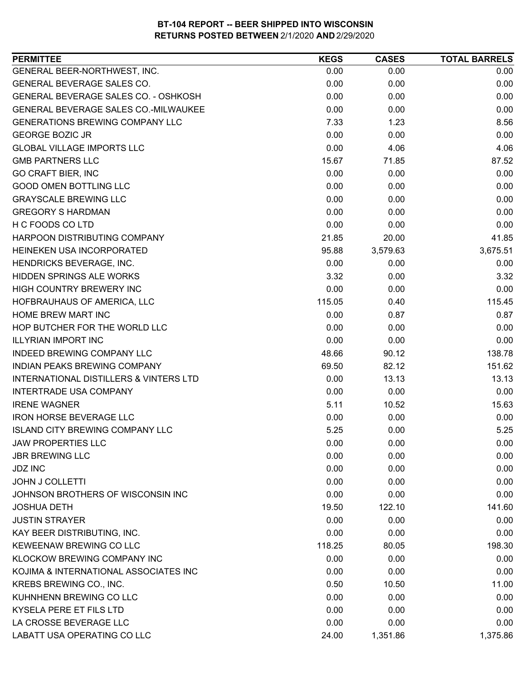| <b>PERMITTEE</b>                       | <b>KEGS</b> | <b>CASES</b> | <b>TOTAL BARRELS</b> |
|----------------------------------------|-------------|--------------|----------------------|
| GENERAL BEER-NORTHWEST, INC.           | 0.00        | 0.00         | 0.00                 |
| GENERAL BEVERAGE SALES CO.             | 0.00        | 0.00         | 0.00                 |
| GENERAL BEVERAGE SALES CO. - OSHKOSH   | 0.00        | 0.00         | 0.00                 |
| GENERAL BEVERAGE SALES CO.-MILWAUKEE   | 0.00        | 0.00         | 0.00                 |
| <b>GENERATIONS BREWING COMPANY LLC</b> | 7.33        | 1.23         | 8.56                 |
| <b>GEORGE BOZIC JR</b>                 | 0.00        | 0.00         | 0.00                 |
| <b>GLOBAL VILLAGE IMPORTS LLC</b>      | 0.00        | 4.06         | 4.06                 |
| <b>GMB PARTNERS LLC</b>                | 15.67       | 71.85        | 87.52                |
| <b>GO CRAFT BIER, INC</b>              | 0.00        | 0.00         | 0.00                 |
| <b>GOOD OMEN BOTTLING LLC</b>          | 0.00        | 0.00         | 0.00                 |
| <b>GRAYSCALE BREWING LLC</b>           | 0.00        | 0.00         | 0.00                 |
| <b>GREGORY S HARDMAN</b>               | 0.00        | 0.00         | 0.00                 |
| H C FOODS CO LTD                       | 0.00        | 0.00         | 0.00                 |
| HARPOON DISTRIBUTING COMPANY           | 21.85       | 20.00        | 41.85                |
| HEINEKEN USA INCORPORATED              | 95.88       | 3,579.63     | 3,675.51             |
| HENDRICKS BEVERAGE, INC.               | 0.00        | 0.00         | 0.00                 |
| <b>HIDDEN SPRINGS ALE WORKS</b>        | 3.32        | 0.00         | 3.32                 |
| HIGH COUNTRY BREWERY INC               | 0.00        | 0.00         | 0.00                 |
| HOFBRAUHAUS OF AMERICA, LLC            | 115.05      | 0.40         | 115.45               |
| <b>HOME BREW MART INC</b>              | 0.00        | 0.87         | 0.87                 |
| HOP BUTCHER FOR THE WORLD LLC          | 0.00        | 0.00         | 0.00                 |
| <b>ILLYRIAN IMPORT INC</b>             | 0.00        | 0.00         | 0.00                 |
| <b>INDEED BREWING COMPANY LLC</b>      | 48.66       | 90.12        | 138.78               |
| INDIAN PEAKS BREWING COMPANY           | 69.50       | 82.12        | 151.62               |
| INTERNATIONAL DISTILLERS & VINTERS LTD | 0.00        | 13.13        | 13.13                |
| INTERTRADE USA COMPANY                 | 0.00        | 0.00         | 0.00                 |
| <b>IRENE WAGNER</b>                    | 5.11        | 10.52        | 15.63                |
| <b>IRON HORSE BEVERAGE LLC</b>         | 0.00        | 0.00         | 0.00                 |
| <b>ISLAND CITY BREWING COMPANY LLC</b> | 5.25        | 0.00         | 5.25                 |
| <b>JAW PROPERTIES LLC</b>              | 0.00        | 0.00         | 0.00                 |
| <b>JBR BREWING LLC</b>                 | 0.00        | 0.00         | 0.00                 |
| <b>JDZ INC</b>                         | 0.00        | 0.00         | 0.00                 |
| <b>JOHN J COLLETTI</b>                 | 0.00        | 0.00         | 0.00                 |
| JOHNSON BROTHERS OF WISCONSIN INC      | 0.00        | 0.00         | 0.00                 |
| <b>JOSHUA DETH</b>                     | 19.50       | 122.10       | 141.60               |
| <b>JUSTIN STRAYER</b>                  | 0.00        | 0.00         | 0.00                 |
| KAY BEER DISTRIBUTING, INC.            | 0.00        | 0.00         | 0.00                 |
| KEWEENAW BREWING CO LLC                | 118.25      | 80.05        | 198.30               |
| KLOCKOW BREWING COMPANY INC            | 0.00        | 0.00         | 0.00                 |
| KOJIMA & INTERNATIONAL ASSOCIATES INC  | 0.00        | 0.00         | 0.00                 |
| KREBS BREWING CO., INC.                | 0.50        | 10.50        | 11.00                |
| KUHNHENN BREWING CO LLC                | 0.00        | 0.00         | 0.00                 |
| KYSELA PERE ET FILS LTD                | 0.00        | 0.00         | 0.00                 |
| LA CROSSE BEVERAGE LLC                 | 0.00        | 0.00         | 0.00                 |
| LABATT USA OPERATING CO LLC            | 24.00       | 1,351.86     | 1,375.86             |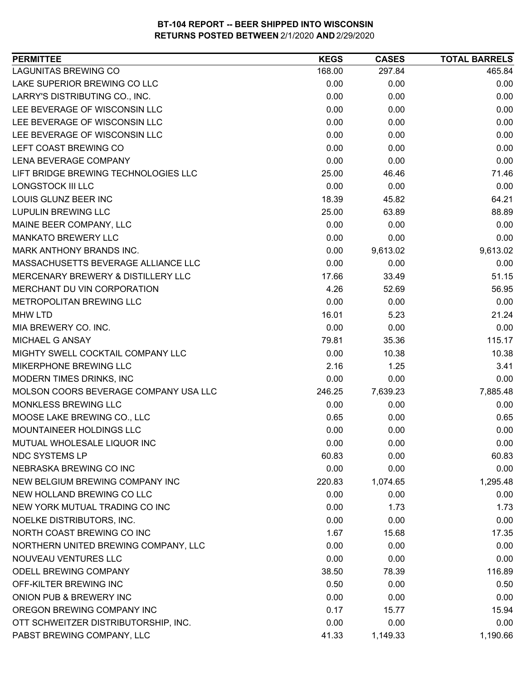| <b>LAGUNITAS BREWING CO</b><br>168.00<br>297.84<br>465.84<br>LAKE SUPERIOR BREWING CO LLC<br>0.00<br>0.00<br>0.00<br>LARRY'S DISTRIBUTING CO., INC.<br>0.00<br>0.00<br>0.00<br>LEE BEVERAGE OF WISCONSIN LLC<br>0.00<br>0.00<br>0.00<br>LEE BEVERAGE OF WISCONSIN LLC<br>0.00<br>0.00<br>0.00<br>LEE BEVERAGE OF WISCONSIN LLC<br>0.00<br>0.00<br>0.00<br>LEFT COAST BREWING CO<br>0.00<br>0.00<br>0.00<br><b>LENA BEVERAGE COMPANY</b><br>0.00<br>0.00<br>0.00<br>LIFT BRIDGE BREWING TECHNOLOGIES LLC<br>25.00<br>46.46<br>71.46<br>LONGSTOCK III LLC<br>0.00<br>0.00<br>0.00<br>LOUIS GLUNZ BEER INC<br>64.21<br>18.39<br>45.82<br>LUPULIN BREWING LLC<br>25.00<br>63.89<br>88.89<br>MAINE BEER COMPANY, LLC<br>0.00<br>0.00<br>0.00<br><b>MANKATO BREWERY LLC</b><br>0.00<br>0.00<br>0.00<br>MARK ANTHONY BRANDS INC.<br>0.00<br>9,613.02<br>9,613.02<br>MASSACHUSETTS BEVERAGE ALLIANCE LLC<br>0.00<br>0.00<br>0.00<br>MERCENARY BREWERY & DISTILLERY LLC<br>33.49<br>51.15<br>17.66<br>MERCHANT DU VIN CORPORATION<br>4.26<br>56.95<br>52.69<br>METROPOLITAN BREWING LLC<br>0.00<br>0.00<br>0.00<br><b>MHW LTD</b><br>16.01<br>5.23<br>21.24<br>0.00<br>0.00<br>MIA BREWERY CO. INC.<br>0.00<br>115.17<br>MICHAEL G ANSAY<br>79.81<br>35.36<br>MIGHTY SWELL COCKTAIL COMPANY LLC<br>10.38<br>0.00<br>10.38<br>MIKERPHONE BREWING LLC<br>2.16<br>1.25<br>3.41<br>MODERN TIMES DRINKS, INC<br>0.00<br>0.00<br>0.00<br>MOLSON COORS BEVERAGE COMPANY USA LLC<br>246.25<br>7,639.23<br>7,885.48<br>MONKLESS BREWING LLC<br>0.00<br>0.00<br>0.00<br>MOOSE LAKE BREWING CO., LLC<br>0.65<br>0.00<br>0.65<br>0.00<br>MOUNTAINEER HOLDINGS LLC<br>0.00<br>0.00<br>MUTUAL WHOLESALE LIQUOR INC<br>0.00<br>0.00<br>0.00<br><b>NDC SYSTEMS LP</b><br>60.83<br>60.83<br>0.00<br>NEBRASKA BREWING CO INC<br>0.00<br>0.00<br>0.00<br>NEW BELGIUM BREWING COMPANY INC<br>220.83<br>1,295.48<br>1,074.65<br>NEW HOLLAND BREWING CO LLC<br>0.00<br>0.00<br>0.00<br>NEW YORK MUTUAL TRADING CO INC<br>0.00<br>1.73<br>1.73<br>NOELKE DISTRIBUTORS, INC.<br>0.00<br>0.00<br>0.00<br>NORTH COAST BREWING CO INC<br>1.67<br>15.68<br>17.35<br>NORTHERN UNITED BREWING COMPANY, LLC<br>0.00<br>0.00<br>0.00<br>NOUVEAU VENTURES LLC<br>0.00<br>0.00<br>0.00<br>ODELL BREWING COMPANY<br>116.89<br>38.50<br>78.39<br>OFF-KILTER BREWING INC<br>0.50<br>0.00<br>0.50<br>ONION PUB & BREWERY INC<br>0.00<br>0.00<br>0.00<br>OREGON BREWING COMPANY INC<br>0.17<br>15.94<br>15.77<br>OTT SCHWEITZER DISTRIBUTORSHIP, INC.<br>0.00<br>0.00<br>0.00<br>PABST BREWING COMPANY, LLC<br>41.33<br>1,149.33<br>1,190.66 | <b>PERMITTEE</b> | <b>KEGS</b> | <b>CASES</b> | <b>TOTAL BARRELS</b> |
|----------------------------------------------------------------------------------------------------------------------------------------------------------------------------------------------------------------------------------------------------------------------------------------------------------------------------------------------------------------------------------------------------------------------------------------------------------------------------------------------------------------------------------------------------------------------------------------------------------------------------------------------------------------------------------------------------------------------------------------------------------------------------------------------------------------------------------------------------------------------------------------------------------------------------------------------------------------------------------------------------------------------------------------------------------------------------------------------------------------------------------------------------------------------------------------------------------------------------------------------------------------------------------------------------------------------------------------------------------------------------------------------------------------------------------------------------------------------------------------------------------------------------------------------------------------------------------------------------------------------------------------------------------------------------------------------------------------------------------------------------------------------------------------------------------------------------------------------------------------------------------------------------------------------------------------------------------------------------------------------------------------------------------------------------------------------------------------------------------------------------------------------------------------------------------------------------------------------------------------------------------------------------------------------------------------------------------------------------------------------------------------------------------------------------------------------------------------------------------------------------------------------------------------------------------------------------------------------|------------------|-------------|--------------|----------------------|
|                                                                                                                                                                                                                                                                                                                                                                                                                                                                                                                                                                                                                                                                                                                                                                                                                                                                                                                                                                                                                                                                                                                                                                                                                                                                                                                                                                                                                                                                                                                                                                                                                                                                                                                                                                                                                                                                                                                                                                                                                                                                                                                                                                                                                                                                                                                                                                                                                                                                                                                                                                                              |                  |             |              |                      |
|                                                                                                                                                                                                                                                                                                                                                                                                                                                                                                                                                                                                                                                                                                                                                                                                                                                                                                                                                                                                                                                                                                                                                                                                                                                                                                                                                                                                                                                                                                                                                                                                                                                                                                                                                                                                                                                                                                                                                                                                                                                                                                                                                                                                                                                                                                                                                                                                                                                                                                                                                                                              |                  |             |              |                      |
|                                                                                                                                                                                                                                                                                                                                                                                                                                                                                                                                                                                                                                                                                                                                                                                                                                                                                                                                                                                                                                                                                                                                                                                                                                                                                                                                                                                                                                                                                                                                                                                                                                                                                                                                                                                                                                                                                                                                                                                                                                                                                                                                                                                                                                                                                                                                                                                                                                                                                                                                                                                              |                  |             |              |                      |
|                                                                                                                                                                                                                                                                                                                                                                                                                                                                                                                                                                                                                                                                                                                                                                                                                                                                                                                                                                                                                                                                                                                                                                                                                                                                                                                                                                                                                                                                                                                                                                                                                                                                                                                                                                                                                                                                                                                                                                                                                                                                                                                                                                                                                                                                                                                                                                                                                                                                                                                                                                                              |                  |             |              |                      |
|                                                                                                                                                                                                                                                                                                                                                                                                                                                                                                                                                                                                                                                                                                                                                                                                                                                                                                                                                                                                                                                                                                                                                                                                                                                                                                                                                                                                                                                                                                                                                                                                                                                                                                                                                                                                                                                                                                                                                                                                                                                                                                                                                                                                                                                                                                                                                                                                                                                                                                                                                                                              |                  |             |              |                      |
|                                                                                                                                                                                                                                                                                                                                                                                                                                                                                                                                                                                                                                                                                                                                                                                                                                                                                                                                                                                                                                                                                                                                                                                                                                                                                                                                                                                                                                                                                                                                                                                                                                                                                                                                                                                                                                                                                                                                                                                                                                                                                                                                                                                                                                                                                                                                                                                                                                                                                                                                                                                              |                  |             |              |                      |
|                                                                                                                                                                                                                                                                                                                                                                                                                                                                                                                                                                                                                                                                                                                                                                                                                                                                                                                                                                                                                                                                                                                                                                                                                                                                                                                                                                                                                                                                                                                                                                                                                                                                                                                                                                                                                                                                                                                                                                                                                                                                                                                                                                                                                                                                                                                                                                                                                                                                                                                                                                                              |                  |             |              |                      |
|                                                                                                                                                                                                                                                                                                                                                                                                                                                                                                                                                                                                                                                                                                                                                                                                                                                                                                                                                                                                                                                                                                                                                                                                                                                                                                                                                                                                                                                                                                                                                                                                                                                                                                                                                                                                                                                                                                                                                                                                                                                                                                                                                                                                                                                                                                                                                                                                                                                                                                                                                                                              |                  |             |              |                      |
|                                                                                                                                                                                                                                                                                                                                                                                                                                                                                                                                                                                                                                                                                                                                                                                                                                                                                                                                                                                                                                                                                                                                                                                                                                                                                                                                                                                                                                                                                                                                                                                                                                                                                                                                                                                                                                                                                                                                                                                                                                                                                                                                                                                                                                                                                                                                                                                                                                                                                                                                                                                              |                  |             |              |                      |
|                                                                                                                                                                                                                                                                                                                                                                                                                                                                                                                                                                                                                                                                                                                                                                                                                                                                                                                                                                                                                                                                                                                                                                                                                                                                                                                                                                                                                                                                                                                                                                                                                                                                                                                                                                                                                                                                                                                                                                                                                                                                                                                                                                                                                                                                                                                                                                                                                                                                                                                                                                                              |                  |             |              |                      |
|                                                                                                                                                                                                                                                                                                                                                                                                                                                                                                                                                                                                                                                                                                                                                                                                                                                                                                                                                                                                                                                                                                                                                                                                                                                                                                                                                                                                                                                                                                                                                                                                                                                                                                                                                                                                                                                                                                                                                                                                                                                                                                                                                                                                                                                                                                                                                                                                                                                                                                                                                                                              |                  |             |              |                      |
|                                                                                                                                                                                                                                                                                                                                                                                                                                                                                                                                                                                                                                                                                                                                                                                                                                                                                                                                                                                                                                                                                                                                                                                                                                                                                                                                                                                                                                                                                                                                                                                                                                                                                                                                                                                                                                                                                                                                                                                                                                                                                                                                                                                                                                                                                                                                                                                                                                                                                                                                                                                              |                  |             |              |                      |
|                                                                                                                                                                                                                                                                                                                                                                                                                                                                                                                                                                                                                                                                                                                                                                                                                                                                                                                                                                                                                                                                                                                                                                                                                                                                                                                                                                                                                                                                                                                                                                                                                                                                                                                                                                                                                                                                                                                                                                                                                                                                                                                                                                                                                                                                                                                                                                                                                                                                                                                                                                                              |                  |             |              |                      |
|                                                                                                                                                                                                                                                                                                                                                                                                                                                                                                                                                                                                                                                                                                                                                                                                                                                                                                                                                                                                                                                                                                                                                                                                                                                                                                                                                                                                                                                                                                                                                                                                                                                                                                                                                                                                                                                                                                                                                                                                                                                                                                                                                                                                                                                                                                                                                                                                                                                                                                                                                                                              |                  |             |              |                      |
|                                                                                                                                                                                                                                                                                                                                                                                                                                                                                                                                                                                                                                                                                                                                                                                                                                                                                                                                                                                                                                                                                                                                                                                                                                                                                                                                                                                                                                                                                                                                                                                                                                                                                                                                                                                                                                                                                                                                                                                                                                                                                                                                                                                                                                                                                                                                                                                                                                                                                                                                                                                              |                  |             |              |                      |
|                                                                                                                                                                                                                                                                                                                                                                                                                                                                                                                                                                                                                                                                                                                                                                                                                                                                                                                                                                                                                                                                                                                                                                                                                                                                                                                                                                                                                                                                                                                                                                                                                                                                                                                                                                                                                                                                                                                                                                                                                                                                                                                                                                                                                                                                                                                                                                                                                                                                                                                                                                                              |                  |             |              |                      |
|                                                                                                                                                                                                                                                                                                                                                                                                                                                                                                                                                                                                                                                                                                                                                                                                                                                                                                                                                                                                                                                                                                                                                                                                                                                                                                                                                                                                                                                                                                                                                                                                                                                                                                                                                                                                                                                                                                                                                                                                                                                                                                                                                                                                                                                                                                                                                                                                                                                                                                                                                                                              |                  |             |              |                      |
|                                                                                                                                                                                                                                                                                                                                                                                                                                                                                                                                                                                                                                                                                                                                                                                                                                                                                                                                                                                                                                                                                                                                                                                                                                                                                                                                                                                                                                                                                                                                                                                                                                                                                                                                                                                                                                                                                                                                                                                                                                                                                                                                                                                                                                                                                                                                                                                                                                                                                                                                                                                              |                  |             |              |                      |
|                                                                                                                                                                                                                                                                                                                                                                                                                                                                                                                                                                                                                                                                                                                                                                                                                                                                                                                                                                                                                                                                                                                                                                                                                                                                                                                                                                                                                                                                                                                                                                                                                                                                                                                                                                                                                                                                                                                                                                                                                                                                                                                                                                                                                                                                                                                                                                                                                                                                                                                                                                                              |                  |             |              |                      |
|                                                                                                                                                                                                                                                                                                                                                                                                                                                                                                                                                                                                                                                                                                                                                                                                                                                                                                                                                                                                                                                                                                                                                                                                                                                                                                                                                                                                                                                                                                                                                                                                                                                                                                                                                                                                                                                                                                                                                                                                                                                                                                                                                                                                                                                                                                                                                                                                                                                                                                                                                                                              |                  |             |              |                      |
|                                                                                                                                                                                                                                                                                                                                                                                                                                                                                                                                                                                                                                                                                                                                                                                                                                                                                                                                                                                                                                                                                                                                                                                                                                                                                                                                                                                                                                                                                                                                                                                                                                                                                                                                                                                                                                                                                                                                                                                                                                                                                                                                                                                                                                                                                                                                                                                                                                                                                                                                                                                              |                  |             |              |                      |
|                                                                                                                                                                                                                                                                                                                                                                                                                                                                                                                                                                                                                                                                                                                                                                                                                                                                                                                                                                                                                                                                                                                                                                                                                                                                                                                                                                                                                                                                                                                                                                                                                                                                                                                                                                                                                                                                                                                                                                                                                                                                                                                                                                                                                                                                                                                                                                                                                                                                                                                                                                                              |                  |             |              |                      |
|                                                                                                                                                                                                                                                                                                                                                                                                                                                                                                                                                                                                                                                                                                                                                                                                                                                                                                                                                                                                                                                                                                                                                                                                                                                                                                                                                                                                                                                                                                                                                                                                                                                                                                                                                                                                                                                                                                                                                                                                                                                                                                                                                                                                                                                                                                                                                                                                                                                                                                                                                                                              |                  |             |              |                      |
|                                                                                                                                                                                                                                                                                                                                                                                                                                                                                                                                                                                                                                                                                                                                                                                                                                                                                                                                                                                                                                                                                                                                                                                                                                                                                                                                                                                                                                                                                                                                                                                                                                                                                                                                                                                                                                                                                                                                                                                                                                                                                                                                                                                                                                                                                                                                                                                                                                                                                                                                                                                              |                  |             |              |                      |
|                                                                                                                                                                                                                                                                                                                                                                                                                                                                                                                                                                                                                                                                                                                                                                                                                                                                                                                                                                                                                                                                                                                                                                                                                                                                                                                                                                                                                                                                                                                                                                                                                                                                                                                                                                                                                                                                                                                                                                                                                                                                                                                                                                                                                                                                                                                                                                                                                                                                                                                                                                                              |                  |             |              |                      |
|                                                                                                                                                                                                                                                                                                                                                                                                                                                                                                                                                                                                                                                                                                                                                                                                                                                                                                                                                                                                                                                                                                                                                                                                                                                                                                                                                                                                                                                                                                                                                                                                                                                                                                                                                                                                                                                                                                                                                                                                                                                                                                                                                                                                                                                                                                                                                                                                                                                                                                                                                                                              |                  |             |              |                      |
|                                                                                                                                                                                                                                                                                                                                                                                                                                                                                                                                                                                                                                                                                                                                                                                                                                                                                                                                                                                                                                                                                                                                                                                                                                                                                                                                                                                                                                                                                                                                                                                                                                                                                                                                                                                                                                                                                                                                                                                                                                                                                                                                                                                                                                                                                                                                                                                                                                                                                                                                                                                              |                  |             |              |                      |
|                                                                                                                                                                                                                                                                                                                                                                                                                                                                                                                                                                                                                                                                                                                                                                                                                                                                                                                                                                                                                                                                                                                                                                                                                                                                                                                                                                                                                                                                                                                                                                                                                                                                                                                                                                                                                                                                                                                                                                                                                                                                                                                                                                                                                                                                                                                                                                                                                                                                                                                                                                                              |                  |             |              |                      |
|                                                                                                                                                                                                                                                                                                                                                                                                                                                                                                                                                                                                                                                                                                                                                                                                                                                                                                                                                                                                                                                                                                                                                                                                                                                                                                                                                                                                                                                                                                                                                                                                                                                                                                                                                                                                                                                                                                                                                                                                                                                                                                                                                                                                                                                                                                                                                                                                                                                                                                                                                                                              |                  |             |              |                      |
|                                                                                                                                                                                                                                                                                                                                                                                                                                                                                                                                                                                                                                                                                                                                                                                                                                                                                                                                                                                                                                                                                                                                                                                                                                                                                                                                                                                                                                                                                                                                                                                                                                                                                                                                                                                                                                                                                                                                                                                                                                                                                                                                                                                                                                                                                                                                                                                                                                                                                                                                                                                              |                  |             |              |                      |
|                                                                                                                                                                                                                                                                                                                                                                                                                                                                                                                                                                                                                                                                                                                                                                                                                                                                                                                                                                                                                                                                                                                                                                                                                                                                                                                                                                                                                                                                                                                                                                                                                                                                                                                                                                                                                                                                                                                                                                                                                                                                                                                                                                                                                                                                                                                                                                                                                                                                                                                                                                                              |                  |             |              |                      |
|                                                                                                                                                                                                                                                                                                                                                                                                                                                                                                                                                                                                                                                                                                                                                                                                                                                                                                                                                                                                                                                                                                                                                                                                                                                                                                                                                                                                                                                                                                                                                                                                                                                                                                                                                                                                                                                                                                                                                                                                                                                                                                                                                                                                                                                                                                                                                                                                                                                                                                                                                                                              |                  |             |              |                      |
|                                                                                                                                                                                                                                                                                                                                                                                                                                                                                                                                                                                                                                                                                                                                                                                                                                                                                                                                                                                                                                                                                                                                                                                                                                                                                                                                                                                                                                                                                                                                                                                                                                                                                                                                                                                                                                                                                                                                                                                                                                                                                                                                                                                                                                                                                                                                                                                                                                                                                                                                                                                              |                  |             |              |                      |
|                                                                                                                                                                                                                                                                                                                                                                                                                                                                                                                                                                                                                                                                                                                                                                                                                                                                                                                                                                                                                                                                                                                                                                                                                                                                                                                                                                                                                                                                                                                                                                                                                                                                                                                                                                                                                                                                                                                                                                                                                                                                                                                                                                                                                                                                                                                                                                                                                                                                                                                                                                                              |                  |             |              |                      |
|                                                                                                                                                                                                                                                                                                                                                                                                                                                                                                                                                                                                                                                                                                                                                                                                                                                                                                                                                                                                                                                                                                                                                                                                                                                                                                                                                                                                                                                                                                                                                                                                                                                                                                                                                                                                                                                                                                                                                                                                                                                                                                                                                                                                                                                                                                                                                                                                                                                                                                                                                                                              |                  |             |              |                      |
|                                                                                                                                                                                                                                                                                                                                                                                                                                                                                                                                                                                                                                                                                                                                                                                                                                                                                                                                                                                                                                                                                                                                                                                                                                                                                                                                                                                                                                                                                                                                                                                                                                                                                                                                                                                                                                                                                                                                                                                                                                                                                                                                                                                                                                                                                                                                                                                                                                                                                                                                                                                              |                  |             |              |                      |
|                                                                                                                                                                                                                                                                                                                                                                                                                                                                                                                                                                                                                                                                                                                                                                                                                                                                                                                                                                                                                                                                                                                                                                                                                                                                                                                                                                                                                                                                                                                                                                                                                                                                                                                                                                                                                                                                                                                                                                                                                                                                                                                                                                                                                                                                                                                                                                                                                                                                                                                                                                                              |                  |             |              |                      |
|                                                                                                                                                                                                                                                                                                                                                                                                                                                                                                                                                                                                                                                                                                                                                                                                                                                                                                                                                                                                                                                                                                                                                                                                                                                                                                                                                                                                                                                                                                                                                                                                                                                                                                                                                                                                                                                                                                                                                                                                                                                                                                                                                                                                                                                                                                                                                                                                                                                                                                                                                                                              |                  |             |              |                      |
|                                                                                                                                                                                                                                                                                                                                                                                                                                                                                                                                                                                                                                                                                                                                                                                                                                                                                                                                                                                                                                                                                                                                                                                                                                                                                                                                                                                                                                                                                                                                                                                                                                                                                                                                                                                                                                                                                                                                                                                                                                                                                                                                                                                                                                                                                                                                                                                                                                                                                                                                                                                              |                  |             |              |                      |
|                                                                                                                                                                                                                                                                                                                                                                                                                                                                                                                                                                                                                                                                                                                                                                                                                                                                                                                                                                                                                                                                                                                                                                                                                                                                                                                                                                                                                                                                                                                                                                                                                                                                                                                                                                                                                                                                                                                                                                                                                                                                                                                                                                                                                                                                                                                                                                                                                                                                                                                                                                                              |                  |             |              |                      |
|                                                                                                                                                                                                                                                                                                                                                                                                                                                                                                                                                                                                                                                                                                                                                                                                                                                                                                                                                                                                                                                                                                                                                                                                                                                                                                                                                                                                                                                                                                                                                                                                                                                                                                                                                                                                                                                                                                                                                                                                                                                                                                                                                                                                                                                                                                                                                                                                                                                                                                                                                                                              |                  |             |              |                      |
|                                                                                                                                                                                                                                                                                                                                                                                                                                                                                                                                                                                                                                                                                                                                                                                                                                                                                                                                                                                                                                                                                                                                                                                                                                                                                                                                                                                                                                                                                                                                                                                                                                                                                                                                                                                                                                                                                                                                                                                                                                                                                                                                                                                                                                                                                                                                                                                                                                                                                                                                                                                              |                  |             |              |                      |
|                                                                                                                                                                                                                                                                                                                                                                                                                                                                                                                                                                                                                                                                                                                                                                                                                                                                                                                                                                                                                                                                                                                                                                                                                                                                                                                                                                                                                                                                                                                                                                                                                                                                                                                                                                                                                                                                                                                                                                                                                                                                                                                                                                                                                                                                                                                                                                                                                                                                                                                                                                                              |                  |             |              |                      |
|                                                                                                                                                                                                                                                                                                                                                                                                                                                                                                                                                                                                                                                                                                                                                                                                                                                                                                                                                                                                                                                                                                                                                                                                                                                                                                                                                                                                                                                                                                                                                                                                                                                                                                                                                                                                                                                                                                                                                                                                                                                                                                                                                                                                                                                                                                                                                                                                                                                                                                                                                                                              |                  |             |              |                      |
|                                                                                                                                                                                                                                                                                                                                                                                                                                                                                                                                                                                                                                                                                                                                                                                                                                                                                                                                                                                                                                                                                                                                                                                                                                                                                                                                                                                                                                                                                                                                                                                                                                                                                                                                                                                                                                                                                                                                                                                                                                                                                                                                                                                                                                                                                                                                                                                                                                                                                                                                                                                              |                  |             |              |                      |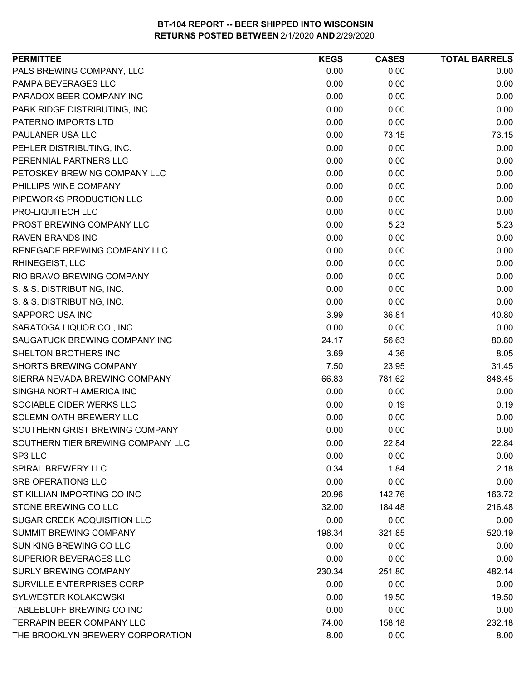| <b>PERMITTEE</b>                   | <b>KEGS</b> | <b>CASES</b> | <b>TOTAL BARRELS</b> |
|------------------------------------|-------------|--------------|----------------------|
| PALS BREWING COMPANY, LLC          | 0.00        | 0.00         | 0.00                 |
| PAMPA BEVERAGES LLC                | 0.00        | 0.00         | 0.00                 |
| PARADOX BEER COMPANY INC           | 0.00        | 0.00         | 0.00                 |
| PARK RIDGE DISTRIBUTING, INC.      | 0.00        | 0.00         | 0.00                 |
| PATERNO IMPORTS LTD                | 0.00        | 0.00         | 0.00                 |
| PAULANER USA LLC                   | 0.00        | 73.15        | 73.15                |
| PEHLER DISTRIBUTING, INC.          | 0.00        | 0.00         | 0.00                 |
| PERENNIAL PARTNERS LLC             | 0.00        | 0.00         | 0.00                 |
| PETOSKEY BREWING COMPANY LLC       | 0.00        | 0.00         | 0.00                 |
| PHILLIPS WINE COMPANY              | 0.00        | 0.00         | 0.00                 |
| PIPEWORKS PRODUCTION LLC           | 0.00        | 0.00         | 0.00                 |
| PRO-LIQUITECH LLC                  | 0.00        | 0.00         | 0.00                 |
| PROST BREWING COMPANY LLC          | 0.00        | 5.23         | 5.23                 |
| <b>RAVEN BRANDS INC</b>            | 0.00        | 0.00         | 0.00                 |
| RENEGADE BREWING COMPANY LLC       | 0.00        | 0.00         | 0.00                 |
| <b>RHINEGEIST, LLC</b>             | 0.00        | 0.00         | 0.00                 |
| RIO BRAVO BREWING COMPANY          | 0.00        | 0.00         | 0.00                 |
| S. & S. DISTRIBUTING, INC.         | 0.00        | 0.00         | 0.00                 |
| S. & S. DISTRIBUTING, INC.         | 0.00        | 0.00         | 0.00                 |
| SAPPORO USA INC                    | 3.99        | 36.81        | 40.80                |
| SARATOGA LIQUOR CO., INC.          | 0.00        | 0.00         | 0.00                 |
| SAUGATUCK BREWING COMPANY INC      | 24.17       | 56.63        | 80.80                |
| SHELTON BROTHERS INC               | 3.69        | 4.36         | 8.05                 |
| <b>SHORTS BREWING COMPANY</b>      | 7.50        | 23.95        | 31.45                |
| SIERRA NEVADA BREWING COMPANY      | 66.83       | 781.62       | 848.45               |
| SINGHA NORTH AMERICA INC           | 0.00        | 0.00         | 0.00                 |
| SOCIABLE CIDER WERKS LLC           | 0.00        | 0.19         | 0.19                 |
| SOLEMN OATH BREWERY LLC            | 0.00        | 0.00         | 0.00                 |
| SOUTHERN GRIST BREWING COMPANY     | 0.00        | 0.00         | 0.00                 |
| SOUTHERN TIER BREWING COMPANY LLC  | 0.00        | 22.84        | 22.84                |
| SP3 LLC                            | 0.00        | 0.00         | 0.00                 |
| <b>SPIRAL BREWERY LLC</b>          | 0.34        | 1.84         | 2.18                 |
| <b>SRB OPERATIONS LLC</b>          | 0.00        | 0.00         | 0.00                 |
| ST KILLIAN IMPORTING CO INC        | 20.96       | 142.76       | 163.72               |
| STONE BREWING CO LLC               | 32.00       | 184.48       | 216.48               |
| <b>SUGAR CREEK ACQUISITION LLC</b> | 0.00        | 0.00         | 0.00                 |
| SUMMIT BREWING COMPANY             | 198.34      | 321.85       | 520.19               |
| SUN KING BREWING CO LLC            | 0.00        | 0.00         | 0.00                 |
| SUPERIOR BEVERAGES LLC             | 0.00        | 0.00         | 0.00                 |
| <b>SURLY BREWING COMPANY</b>       | 230.34      | 251.80       | 482.14               |
| SURVILLE ENTERPRISES CORP          | 0.00        | 0.00         | 0.00                 |
| <b>SYLWESTER KOLAKOWSKI</b>        | 0.00        | 19.50        | 19.50                |
| TABLEBLUFF BREWING CO INC          | 0.00        | 0.00         | 0.00                 |
| <b>TERRAPIN BEER COMPANY LLC</b>   | 74.00       | 158.18       | 232.18               |
| THE BROOKLYN BREWERY CORPORATION   | 8.00        | 0.00         | 8.00                 |